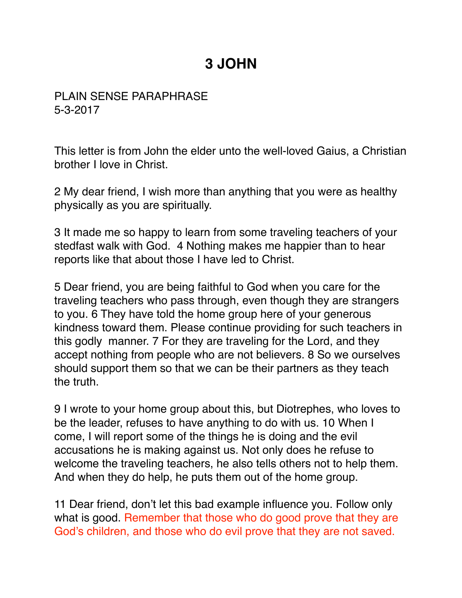## **3 JOHN**

PLAIN SENSE PARAPHRASE 5-3-2017

This letter is from John the elder unto the well-loved Gaius, a Christian brother I love in Christ.

2 My dear friend, I wish more than anything that you were as healthy physically as you are spiritually.

3 It made me so happy to learn from some traveling teachers of your stedfast walk with God. 4 Nothing makes me happier than to hear reports like that about those I have led to Christ.

5 Dear friend, you are being faithful to God when you care for the traveling teachers who pass through, even though they are strangers to you. 6 They have told the home group here of your generous kindness toward them. Please continue providing for such teachers in this godly manner. 7 For they are traveling for the Lord, and they accept nothing from people who are not believers. 8 So we ourselves should support them so that we can be their partners as they teach the truth.

9 I wrote to your home group about this, but Diotrephes, who loves to be the leader, refuses to have anything to do with us. 10 When I come, I will report some of the things he is doing and the evil accusations he is making against us. Not only does he refuse to welcome the traveling teachers, he also tells others not to help them. And when they do help, he puts them out of the home group.

11 Dear friend, don't let this bad example influence you. Follow only what is good. Remember that those who do good prove that they are God's children, and those who do evil prove that they are not saved.